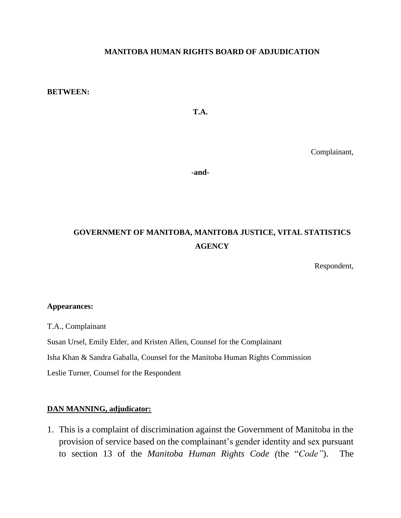#### **MANITOBA HUMAN RIGHTS BOARD OF ADJUDICATION**

#### **BETWEEN:**

**T.A.**

Complainant,

-**and-**

# **GOVERNMENT OF MANITOBA, MANITOBA JUSTICE, VITAL STATISTICS AGENCY**

Respondent,

#### **Appearances:**

T.A., Complainant

Susan Ursel, Emily Elder, and Kristen Allen, Counsel for the Complainant

Isha Khan & Sandra Gaballa, Counsel for the Manitoba Human Rights Commission

Leslie Turner, Counsel for the Respondent

#### **DAN MANNING, adjudicator:**

1. This is a complaint of discrimination against the Government of Manitoba in the provision of service based on the complainant's gender identity and sex pursuant to section 13 of the *Manitoba Human Rights Code (*the "*Code"*). The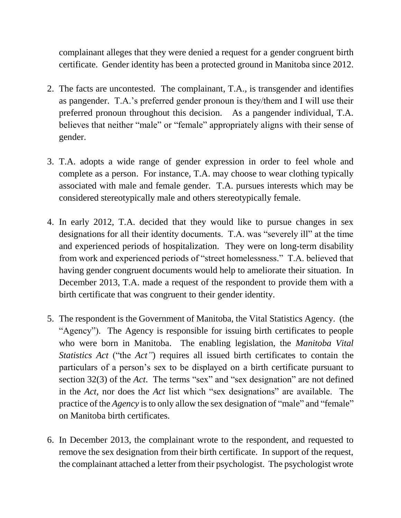complainant alleges that they were denied a request for a gender congruent birth certificate. Gender identity has been a protected ground in Manitoba since 2012.

- 2. The facts are uncontested. The complainant, T.A., is transgender and identifies as pangender. T.A.'s preferred gender pronoun is they/them and I will use their preferred pronoun throughout this decision. As a pangender individual, T.A. believes that neither "male" or "female" appropriately aligns with their sense of gender.
- 3. T.A. adopts a wide range of gender expression in order to feel whole and complete as a person. For instance, T.A. may choose to wear clothing typically associated with male and female gender. T.A. pursues interests which may be considered stereotypically male and others stereotypically female.
- 4. In early 2012, T.A. decided that they would like to pursue changes in sex designations for all their identity documents. T.A. was "severely ill" at the time and experienced periods of hospitalization. They were on long-term disability from work and experienced periods of "street homelessness." T.A. believed that having gender congruent documents would help to ameliorate their situation. In December 2013, T.A. made a request of the respondent to provide them with a birth certificate that was congruent to their gender identity.
- 5. The respondent is the Government of Manitoba, the Vital Statistics Agency. (the "Agency"). The Agency is responsible for issuing birth certificates to people who were born in Manitoba. The enabling legislation, the *Manitoba Vital Statistics Act* ("the *Act"*) requires all issued birth certificates to contain the particulars of a person's sex to be displayed on a birth certificate pursuant to section 32(3) of the *Act*. The terms "sex" and "sex designation" are not defined in the *Act,* nor does the *Act* list which "sex designations" are available. The practice of the *Agency* is to only allow the sex designation of "male" and "female" on Manitoba birth certificates.
- 6. In December 2013, the complainant wrote to the respondent, and requested to remove the sex designation from their birth certificate. In support of the request, the complainant attached a letter from their psychologist. The psychologist wrote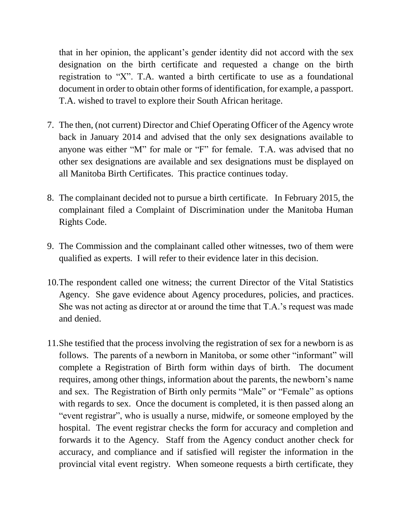that in her opinion, the applicant's gender identity did not accord with the sex designation on the birth certificate and requested a change on the birth registration to "X". T.A. wanted a birth certificate to use as a foundational document in order to obtain other forms of identification, for example, a passport. T.A. wished to travel to explore their South African heritage.

- 7. The then, (not current) Director and Chief Operating Officer of the Agency wrote back in January 2014 and advised that the only sex designations available to anyone was either "M" for male or "F" for female. T.A. was advised that no other sex designations are available and sex designations must be displayed on all Manitoba Birth Certificates. This practice continues today.
- 8. The complainant decided not to pursue a birth certificate. In February 2015, the complainant filed a Complaint of Discrimination under the Manitoba Human Rights Code.
- 9. The Commission and the complainant called other witnesses, two of them were qualified as experts. I will refer to their evidence later in this decision.
- 10.The respondent called one witness; the current Director of the Vital Statistics Agency. She gave evidence about Agency procedures, policies, and practices. She was not acting as director at or around the time that T.A.'s request was made and denied.
- 11.She testified that the process involving the registration of sex for a newborn is as follows. The parents of a newborn in Manitoba, or some other "informant" will complete a Registration of Birth form within days of birth. The document requires, among other things, information about the parents, the newborn's name and sex. The Registration of Birth only permits "Male" or "Female" as options with regards to sex. Once the document is completed, it is then passed along an "event registrar", who is usually a nurse, midwife, or someone employed by the hospital. The event registrar checks the form for accuracy and completion and forwards it to the Agency*.* Staff from the Agency conduct another check for accuracy, and compliance and if satisfied will register the information in the provincial vital event registry. When someone requests a birth certificate, they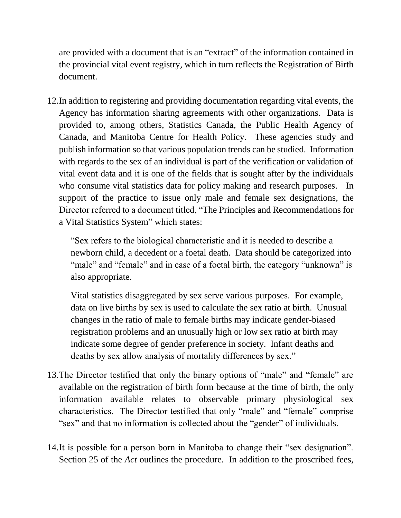are provided with a document that is an "extract" of the information contained in the provincial vital event registry, which in turn reflects the Registration of Birth document.

12.In addition to registering and providing documentation regarding vital events, the Agency has information sharing agreements with other organizations. Data is provided to, among others, Statistics Canada, the Public Health Agency of Canada, and Manitoba Centre for Health Policy. These agencies study and publish information so that various population trends can be studied. Information with regards to the sex of an individual is part of the verification or validation of vital event data and it is one of the fields that is sought after by the individuals who consume vital statistics data for policy making and research purposes. In support of the practice to issue only male and female sex designations, the Director referred to a document titled, "The Principles and Recommendations for a Vital Statistics System" which states:

"Sex refers to the biological characteristic and it is needed to describe a newborn child, a decedent or a foetal death. Data should be categorized into "male" and "female" and in case of a foetal birth, the category "unknown" is also appropriate.

Vital statistics disaggregated by sex serve various purposes. For example, data on live births by sex is used to calculate the sex ratio at birth. Unusual changes in the ratio of male to female births may indicate gender-biased registration problems and an unusually high or low sex ratio at birth may indicate some degree of gender preference in society. Infant deaths and deaths by sex allow analysis of mortality differences by sex."

- 13.The Director testified that only the binary options of "male" and "female" are available on the registration of birth form because at the time of birth, the only information available relates to observable primary physiological sex characteristics. The Director testified that only "male" and "female" comprise "sex" and that no information is collected about the "gender" of individuals.
- 14.It is possible for a person born in Manitoba to change their "sex designation". Section 25 of the *Act* outlines the procedure. In addition to the proscribed fees,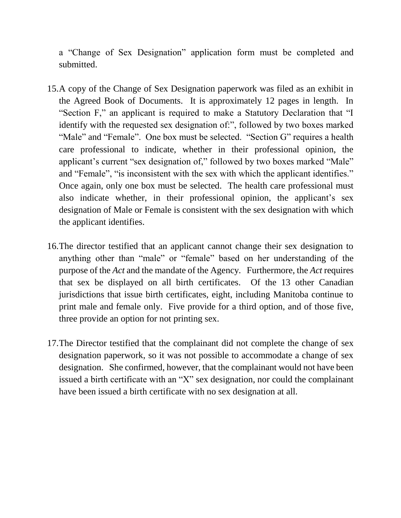a "Change of Sex Designation" application form must be completed and submitted.

- 15.A copy of the Change of Sex Designation paperwork was filed as an exhibit in the Agreed Book of Documents. It is approximately 12 pages in length. In "Section F," an applicant is required to make a Statutory Declaration that "I identify with the requested sex designation of:", followed by two boxes marked "Male" and "Female". One box must be selected. "Section G" requires a health care professional to indicate, whether in their professional opinion, the applicant's current "sex designation of," followed by two boxes marked "Male" and "Female", "is inconsistent with the sex with which the applicant identifies." Once again, only one box must be selected. The health care professional must also indicate whether, in their professional opinion, the applicant's sex designation of Male or Female is consistent with the sex designation with which the applicant identifies.
- 16.The director testified that an applicant cannot change their sex designation to anything other than "male" or "female" based on her understanding of the purpose of the *Act* and the mandate of the Agency*.* Furthermore, the *Act* requires that sex be displayed on all birth certificates. Of the 13 other Canadian jurisdictions that issue birth certificates, eight, including Manitoba continue to print male and female only. Five provide for a third option, and of those five, three provide an option for not printing sex.
- 17.The Director testified that the complainant did not complete the change of sex designation paperwork, so it was not possible to accommodate a change of sex designation. She confirmed, however, that the complainant would not have been issued a birth certificate with an "X" sex designation, nor could the complainant have been issued a birth certificate with no sex designation at all.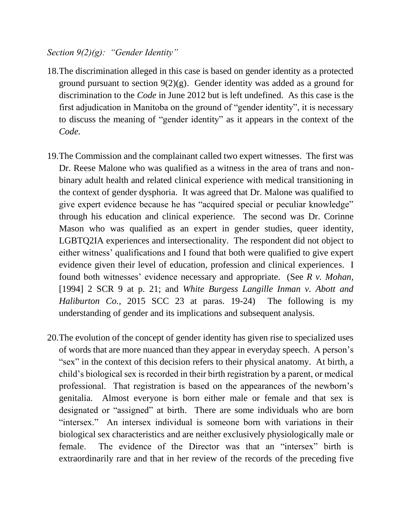#### *Section 9(2)(g): "Gender Identity"*

- 18.The discrimination alleged in this case is based on gender identity as a protected ground pursuant to section 9(2)(g). Gender identity was added as a ground for discrimination to the *Code* in June 2012 but is left undefined. As this case is the first adjudication in Manitoba on the ground of "gender identity", it is necessary to discuss the meaning of "gender identity" as it appears in the context of the *Code.*
- 19.The Commission and the complainant called two expert witnesses. The first was Dr. Reese Malone who was qualified as a witness in the area of trans and nonbinary adult health and related clinical experience with medical transitioning in the context of gender dysphoria. It was agreed that Dr. Malone was qualified to give expert evidence because he has "acquired special or peculiar knowledge" through his education and clinical experience. The second was Dr. Corinne Mason who was qualified as an expert in gender studies, queer identity, LGBTQ2IA experiences and intersectionality. The respondent did not object to either witness' qualifications and I found that both were qualified to give expert evidence given their level of education, profession and clinical experiences. I found both witnesses' evidence necessary and appropriate. (See *R v. Mohan,*  [1994] 2 SCR 9 at p. 21; and *White Burgess Langille Inman v. Abott and Haliburton Co.,* 2015 SCC 23 at paras. 19-24) The following is my understanding of gender and its implications and subsequent analysis.
- 20.The evolution of the concept of gender identity has given rise to specialized uses of words that are more nuanced than they appear in everyday speech. A person's "sex" in the context of this decision refers to their physical anatomy. At birth, a child's biological sex is recorded in their birth registration by a parent, or medical professional. That registration is based on the appearances of the newborn's genitalia. Almost everyone is born either male or female and that sex is designated or "assigned" at birth. There are some individuals who are born "intersex." An intersex individual is someone born with variations in their biological sex characteristics and are neither exclusively physiologically male or female. The evidence of the Director was that an "intersex" birth is extraordinarily rare and that in her review of the records of the preceding five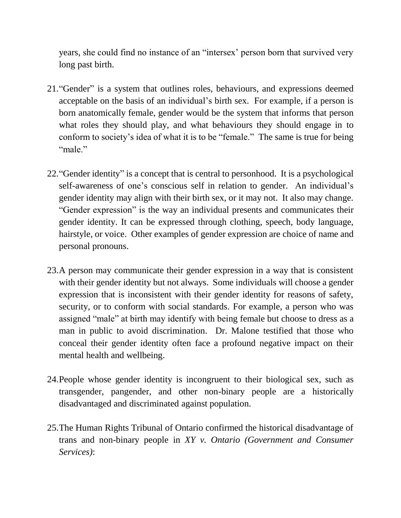years, she could find no instance of an "intersex' person born that survived very long past birth.

- 21."Gender" is a system that outlines roles, behaviours, and expressions deemed acceptable on the basis of an individual's birth sex. For example, if a person is born anatomically female, gender would be the system that informs that person what roles they should play, and what behaviours they should engage in to conform to society's idea of what it is to be "female." The same is true for being "male"
- 22."Gender identity" is a concept that is central to personhood. It is a psychological self-awareness of one's conscious self in relation to gender. An individual's gender identity may align with their birth sex, or it may not. It also may change. "Gender expression" is the way an individual presents and communicates their gender identity. It can be expressed through clothing, speech, body language, hairstyle, or voice. Other examples of gender expression are choice of name and personal pronouns.
- 23.A person may communicate their gender expression in a way that is consistent with their gender identity but not always. Some individuals will choose a gender expression that is inconsistent with their gender identity for reasons of safety, security, or to conform with social standards. For example, a person who was assigned "male" at birth may identify with being female but choose to dress as a man in public to avoid discrimination. Dr. Malone testified that those who conceal their gender identity often face a profound negative impact on their mental health and wellbeing.
- 24.People whose gender identity is incongruent to their biological sex, such as transgender, pangender, and other non-binary people are a historically disadvantaged and discriminated against population.
- 25.The Human Rights Tribunal of Ontario confirmed the historical disadvantage of trans and non-binary people in *XY v. Ontario (Government and Consumer Services)*: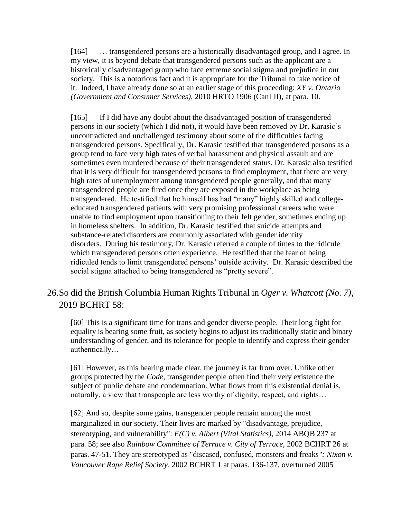[164] … transgendered persons are a historically disadvantaged group, and I agree. In my view, it is beyond debate that transgendered persons such as the applicant are a historically disadvantaged group who face extreme social stigma and prejudice in our society. This is a notorious fact and it is appropriate for the Tribunal to take notice of it. Indeed, I have already done so at an earlier stage of this proceeding: *XY v. Ontario (Government and Consumer Services)*, [2010 HRTO 1906 \(CanLII\),](https://www.canlii.org/en/on/onhrt/doc/2010/2010hrto1906/2010hrto1906.html) at para. [10.](https://www.canlii.org/en/on/onhrt/doc/2010/2010hrto1906/2010hrto1906.html#par10)

[165] If I did have any doubt about the disadvantaged position of transgendered persons in our society (which I did not), it would have been removed by Dr. Karasic's uncontradicted and unchallenged testimony about some of the difficulties facing transgendered persons. Specifically, Dr. Karasic testified that transgendered persons as a group tend to face very high rates of verbal harassment and physical assault and are sometimes even murdered because of their transgendered status. Dr. Karasic also testified that it is very difficult for transgendered persons to find employment, that there are very high rates of unemployment among transgendered people generally, and that many transgendered people are fired once they are exposed in the workplace as being transgendered. He testified that he himself has had "many" highly skilled and collegeeducated transgendered patients with very promising professional careers who were unable to find employment upon transitioning to their felt gender, sometimes ending up in homeless shelters. In addition, Dr. Karasic testified that suicide attempts and substance-related disorders are commonly associated with gender identity disorders. During his testimony, Dr. Karasic referred a couple of times to the ridicule which transgendered persons often experience. He testified that the fear of being ridiculed tends to limit transgendered persons' outside activity. Dr. Karasic described the social stigma attached to being transgendered as "pretty severe".

## 26.So did the British Columbia Human Rights Tribunal in *Oger v. Whatcott (No. 7)*, 2019 BCHRT 58:

[60] This is a significant time for trans and gender diverse people. Their long fight for equality is bearing some fruit, as society begins to adjust its traditionally static and binary understanding of gender, and its tolerance for people to identify and express their gender authentically…

[61] However, as this hearing made clear, the journey is far from over. Unlike other groups protected by the *Code,* transgender people often find their very existence the subject of public debate and condemnation. What flows from this existential denial is, naturally, a view that transpeople are less worthy of dignity, respect, and rights…

[62] And so, despite some gains, transgender people remain among the most marginalized in our society. Their lives are marked by "disadvantage, prejudice, stereotyping, and vulnerability": *F(C) v. Albert (Vital Statistics),* 2014 ABQB 237 at para. 58; see also *Rainbow Committee of Terrace v. City of Terrace,* 2002 BCHRT 26 at paras. 47-51. They are stereotyped as "diseased, confused, monsters and freaks*": Nixon v. Vancouver Rape Relief Society*, 2002 BCHRT 1 at paras. 136-137, overturned 2005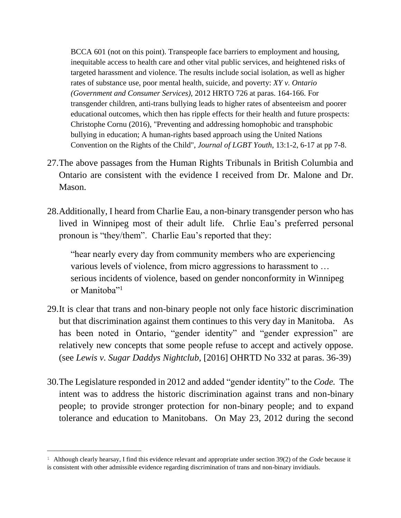BCCA 601 (not on this point). Transpeople face barriers to employment and housing, inequitable access to health care and other vital public services, and heightened risks of targeted harassment and violence. The results include social isolation, as well as higher rates of substance use, poor mental health, suicide, and poverty: *XY v. Ontario (Government and Consumer Services),* 2012 HRTO 726 at paras. 164-166. For transgender children, anti-trans bullying leads to higher rates of absenteeism and poorer educational outcomes, which then has ripple effects for their health and future prospects: Christophe Cornu (2016), "Preventing and addressing homophobic and transphobic bullying in education; A human-rights based approach using the United Nations Convention on the Rights of the Child", *Journal of LGBT Youth*, 13:1-2, 6-17 at pp 7-8.

- 27.The above passages from the Human Rights Tribunals in British Columbia and Ontario are consistent with the evidence I received from Dr. Malone and Dr. Mason.
- 28.Additionally, I heard from Charlie Eau, a non-binary transgender person who has lived in Winnipeg most of their adult life. Chrlie Eau's preferred personal pronoun is "they/them". Charlie Eau's reported that they:

"hear nearly every day from community members who are experiencing various levels of violence, from micro aggressions to harassment to … serious incidents of violence, based on gender nonconformity in Winnipeg or Manitoba"<sup>1</sup>

- 29.It is clear that trans and non-binary people not only face historic discrimination but that discrimination against them continues to this very day in Manitoba. As has been noted in Ontario, "gender identity" and "gender expression" are relatively new concepts that some people refuse to accept and actively oppose. (see *Lewis v. Sugar Daddys Nightclub,* [2016] OHRTD No 332 at paras. 36-39)
- 30.The Legislature responded in 2012 and added "gender identity" to the *Code.* The intent was to address the historic discrimination against trans and non-binary people; to provide stronger protection for non-binary people; and to expand tolerance and education to Manitobans. On May 23, 2012 during the second

L,

<sup>1</sup> Although clearly hearsay, I find this evidence relevant and appropriate under section 39(2) of the *Code* because it is consistent with other admissible evidence regarding discrimination of trans and non-binary invidiauls.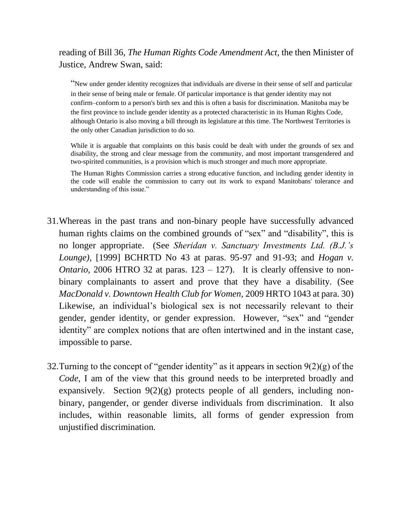reading of Bill 36, *The Human Rights Code Amendment Act,* the then Minister of Justice, Andrew Swan, said:

"New under gender identity recognizes that individuals are diverse in their sense of self and particular in their sense of being male or female. Of particular importance is that gender identity may not confirm–conform to a person's birth sex and this is often a basis for discrimination. Manitoba may be the first province to include gender identity as a protected characteristic in its Human Rights Code, although Ontario is also moving a bill through its legislature at this time. The Northwest Territories is the only other Canadian jurisdiction to do so.

While it is arguable that complaints on this basis could be dealt with under the grounds of sex and disability, the strong and clear message from the community, and most important transgendered and two-spirited communities, is a provision which is much stronger and much more appropriate.

The Human Rights Commission carries a strong educative function, and including gender identity in the code will enable the commission to carry out its work to expand Manitobans' tolerance and understanding of this issue."

- 31.Whereas in the past trans and non-binary people have successfully advanced human rights claims on the combined grounds of "sex" and "disability", this is no longer appropriate. (See *Sheridan v. Sanctuary Investments Ltd. (B.J.'s Lounge),* [1999] BCHRTD No 43 at paras. 95-97 and 91-93; and *Hogan v. Ontario,* 2006 HTRO 32 at paras.  $123 - 127$ . It is clearly offensive to nonbinary complainants to assert and prove that they have a disability. (See *MacDonald v. Downtown Health Club for Women,* 2009 HRTO 1043 at para. 30) Likewise, an individual's biological sex is not necessarily relevant to their gender, gender identity, or gender expression. However, "sex" and "gender identity" are complex notions that are often intertwined and in the instant case, impossible to parse.
- 32. Turning to the concept of "gender identity" as it appears in section  $9(2)(g)$  of the *Code,* I am of the view that this ground needs to be interpreted broadly and expansively. Section 9(2)(g) protects people of all genders, including nonbinary, pangender, or gender diverse individuals from discrimination. It also includes, within reasonable limits, all forms of gender expression from unjustified discrimination.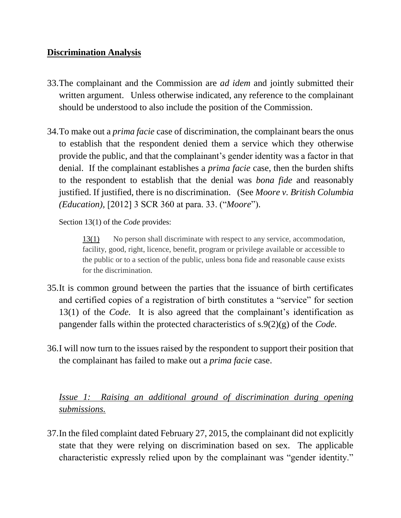#### **Discrimination Analysis**

- 33.The complainant and the Commission are *ad idem* and jointly submitted their written argument. Unless otherwise indicated, any reference to the complainant should be understood to also include the position of the Commission.
- 34.To make out a *prima facie* case of discrimination, the complainant bears the onus to establish that the respondent denied them a service which they otherwise provide the public, and that the complainant's gender identity was a factor in that denial. If the complainant establishes a *prima facie* case, then the burden shifts to the respondent to establish that the denial was *bona fide* and reasonably justified. If justified, there is no discrimination. (See *Moore v. British Columbia (Education),* [2012] 3 SCR 360 at para. 33. ("*Moore*").

Section 13(1) of the *Code* provides:

[13\(1\)](https://web2.gov.mb.ca/laws/statutes/ccsm/h175f.php#13) No person shall discriminate with respect to any service, accommodation, facility, good, right, licence, benefit, program or privilege available or accessible to the public or to a section of the public, unless bona fide and reasonable cause exists for the discrimination.

- 35.It is common ground between the parties that the issuance of birth certificates and certified copies of a registration of birth constitutes a "service" for section 13(1) of the *Code.* It is also agreed that the complainant's identification as pangender falls within the protected characteristics of s.9(2)(g) of the *Code.*
- 36.I will now turn to the issues raised by the respondent to support their position that the complainant has failed to make out a *prima facie* case.

*Issue 1: Raising an additional ground of discrimination during opening submissions.* 

37.In the filed complaint dated February 27, 2015, the complainant did not explicitly state that they were relying on discrimination based on sex. The applicable characteristic expressly relied upon by the complainant was "gender identity."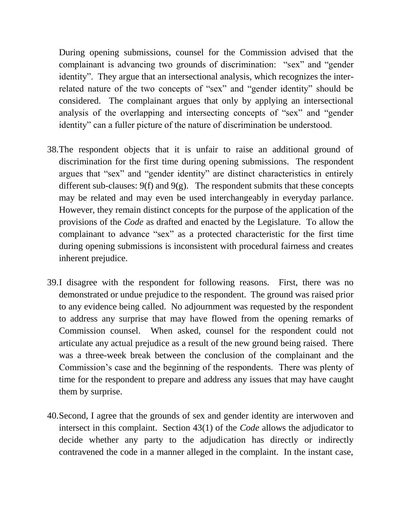During opening submissions, counsel for the Commission advised that the complainant is advancing two grounds of discrimination: "sex" and "gender identity". They argue that an intersectional analysis, which recognizes the interrelated nature of the two concepts of "sex" and "gender identity" should be considered. The complainant argues that only by applying an intersectional analysis of the overlapping and intersecting concepts of "sex" and "gender identity" can a fuller picture of the nature of discrimination be understood.

- 38.The respondent objects that it is unfair to raise an additional ground of discrimination for the first time during opening submissions. The respondent argues that "sex" and "gender identity" are distinct characteristics in entirely different sub-clauses:  $9(f)$  and  $9(g)$ . The respondent submits that these concepts may be related and may even be used interchangeably in everyday parlance. However, they remain distinct concepts for the purpose of the application of the provisions of the *Code* as drafted and enacted by the Legislature. To allow the complainant to advance "sex" as a protected characteristic for the first time during opening submissions is inconsistent with procedural fairness and creates inherent prejudice.
- 39.I disagree with the respondent for following reasons. First, there was no demonstrated or undue prejudice to the respondent. The ground was raised prior to any evidence being called. No adjournment was requested by the respondent to address any surprise that may have flowed from the opening remarks of Commission counsel. When asked, counsel for the respondent could not articulate any actual prejudice as a result of the new ground being raised. There was a three-week break between the conclusion of the complainant and the Commission's case and the beginning of the respondents. There was plenty of time for the respondent to prepare and address any issues that may have caught them by surprise.
- 40.Second, I agree that the grounds of sex and gender identity are interwoven and intersect in this complaint. Section 43(1) of the *Code* allows the adjudicator to decide whether any party to the adjudication has directly or indirectly contravened the code in a manner alleged in the complaint. In the instant case,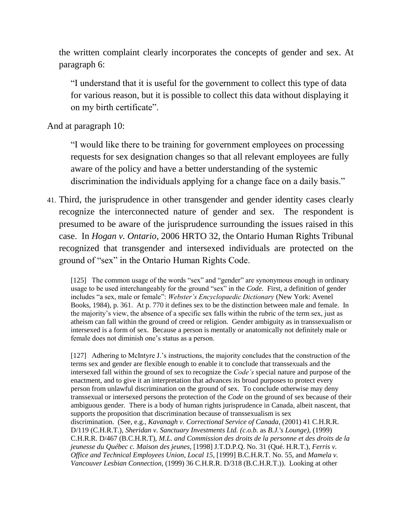the written complaint clearly incorporates the concepts of gender and sex. At paragraph 6:

"I understand that it is useful for the government to collect this type of data for various reason, but it is possible to collect this data without displaying it on my birth certificate".

And at paragraph 10:

"I would like there to be training for government employees on processing requests for sex designation changes so that all relevant employees are fully aware of the policy and have a better understanding of the systemic discrimination the individuals applying for a change face on a daily basis."

41. Third, the jurisprudence in other transgender and gender identity cases clearly recognize the interconnected nature of gender and sex. The respondent is presumed to be aware of the jurisprudence surrounding the issues raised in this case. In *Hogan v. Ontario,* 2006 HRTO 32, the Ontario Human Rights Tribunal recognized that transgender and intersexed individuals are protected on the ground of "sex" in the Ontario Human Rights Code.

[125] The common usage of the words "sex" and "gender" are synonymous enough in ordinary usage to be used interchangeably for the ground "sex" in the *Code.* First, a definition of gender includes "a sex, male or female": *Webster's Encyclopaedic Dictionary* (New York: Avenel Books, 1984), p. 361. At p. 770 it defines sex to be the distinction between male and female. In the majority's view, the absence of a specific sex falls within the rubric of the term sex, just as atheism can fall within the ground of creed or religion. Gender ambiguity as in transsexualism or intersexed is a form of sex. Because a person is mentally or anatomically not definitely male or female does not diminish one's status as a person.

[127] Adhering to McIntyre J.'s instructions, the majority concludes that the construction of the terms sex and gender are flexible enough to enable it to conclude that transsexuals and the intersexed fall within the ground of sex to recognize the *Code's* special nature and purpose of the enactment, and to give it an interpretation that advances its broad purposes to protect every person from unlawful discrimination on the ground of sex. To conclude otherwise may deny transsexual or intersexed persons the protection of the *Code* on the ground of sex because of their ambiguous gender*.* There is a body of human rights jurisprudence in Canada, albeit nascent, that supports the proposition that discrimination because of transsexualism is sex discrimination. (See, e.g., *Kavanagh v. Correctional Service of Canada*, (2001) 41 C.H.R.R. D/119 (C.H.R.T.), *Sheridan v. Sanctuary Investments Ltd. (c.o.b.* as *B.J.'s Lounge)*, (1999) C.H.R.R. D/467 (B.C.H.R.T), *M.L. and Commission des droits de la personne et des droits de la jeunesse du Québec c. Maison des jeunes*, [1998] J.T.D.P.Q. No. 31 (Qué. H.R.T.), *Ferris v. Office and Technical Employees Union, Local 15*, [1999] B.C.H.R.T. No. 55, and *Mamela v. Vancouver Lesbian Connection*, (1999) 36 C.H.R.R. D/318 (B.C.H.R.T.)). Looking at other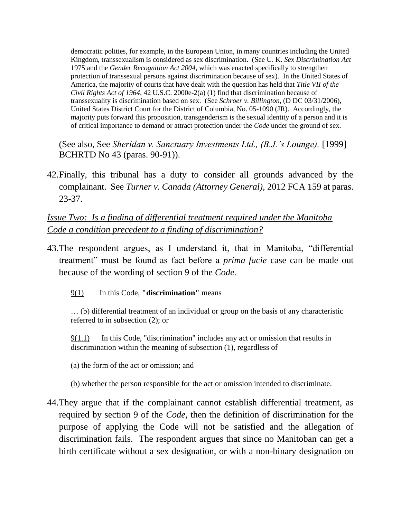democratic polities, for example, in the European Union, in many countries including the United Kingdom, transsexualism is considered as sex discrimination. (See U. K. *Sex Discrimination Act*  1975 and the *Gender Recognition Act 2004*, which was enacted specifically to strengthen protection of transsexual persons against discrimination because of sex). In the United States of America, the majority of courts that have dealt with the question has held that *Title VII of the Civil Rights Act of 1964*, 42 U.S.C. 2000e-2(a) (1) find that discrimination because of transsexuality is discrimination based on sex. (See *Schroer v. Billington,* (D DC 03/31/2006), United States District Court for the District of Columbia, No. 05-1090 (JR). Accordingly, the majority puts forward this proposition, transgenderism is the sexual identity of a person and it is of critical importance to demand or attract protection under the *Code* under the ground of sex*.*

(See also, See *Sheridan v. Sanctuary Investments Ltd., (B.J.'s Lounge),* [1999] BCHRTD No 43 (paras. 90-91)).

42.Finally, this tribunal has a duty to consider all grounds advanced by the complainant. See *Turner v. Canada (Attorney General),* 2012 FCA 159 at paras. 23-37.

*Issue Two: Is a finding of differential treatment required under the Manitoba Code a condition precedent to a finding of discrimination?* 

- 43.The respondent argues, as I understand it, that in Manitoba, "differential treatment" must be found as fact before a *prima facie* case can be made out because of the wording of section 9 of the *Code.* 
	- [9\(1\)](https://web2.gov.mb.ca/laws/statutes/ccsm/h175f.php#9) In this Code, **"discrimination"** means

… (b) differential treatment of an individual or group on the basis of any characteristic referred to in subsection (2); or

[9\(1.1\)](https://web2.gov.mb.ca/laws/statutes/ccsm/h175f.php#9(1.1)) In this Code, "discrimination" includes any act or omission that results in discrimination within the meaning of subsection (1), regardless of

(a) the form of the act or omission; and

- (b) whether the person responsible for the act or omission intended to discriminate.
- 44.They argue that if the complainant cannot establish differential treatment, as required by section 9 of the *Code,* then the definition of discrimination for the purpose of applying the Code will not be satisfied and the allegation of discrimination fails. The respondent argues that since no Manitoban can get a birth certificate without a sex designation, or with a non-binary designation on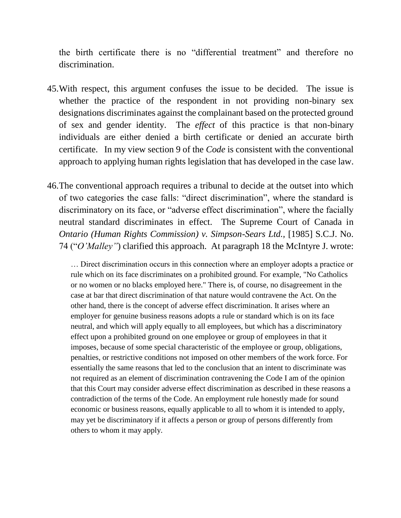the birth certificate there is no "differential treatment" and therefore no discrimination.

- 45.With respect, this argument confuses the issue to be decided. The issue is whether the practice of the respondent in not providing non-binary sex designations discriminates against the complainant based on the protected ground of sex and gender identity. The *effect* of this practice is that non-binary individuals are either denied a birth certificate or denied an accurate birth certificate. In my view section 9 of the *Code* is consistent with the conventional approach to applying human rights legislation that has developed in the case law.
- 46.The conventional approach requires a tribunal to decide at the outset into which of two categories the case falls: "direct discrimination", where the standard is discriminatory on its face, or "adverse effect discrimination", where the facially neutral standard discriminates in effect. The Supreme Court of Canada in *Ontario (Human Rights Commission) v. Simpson-Sears Ltd.,* [1985] S.C.J. No. 74 ("*O'Malley"*) clarified this approach. At paragraph 18 the McIntyre J. wrote:

… Direct discrimination occurs in this connection where an employer adopts a practice or rule which on its face discriminates on a prohibited ground. For example, "No Catholics or no women or no blacks employed here." There is, of course, no disagreement in the case at bar that direct discrimination of that nature would contravene the Act. On the other hand, there is the concept of adverse effect discrimination. It arises where an employer for genuine business reasons adopts a rule or standard which is on its face neutral, and which will apply equally to all employees, but which has a discriminatory effect upon a prohibited ground on one employee or group of employees in that it imposes, because of some special characteristic of the employee or group, obligations, penalties, or restrictive conditions not imposed on other members of the work force. For essentially the same reasons that led to the conclusion that an intent to discriminate was not required as an element of discrimination contravening the Code I am of the opinion that this Court may consider adverse effect discrimination as described in these reasons a contradiction of the terms of the Code. An employment rule honestly made for sound economic or business reasons, equally applicable to all to whom it is intended to apply, may yet be discriminatory if it affects a person or group of persons differently from others to whom it may apply.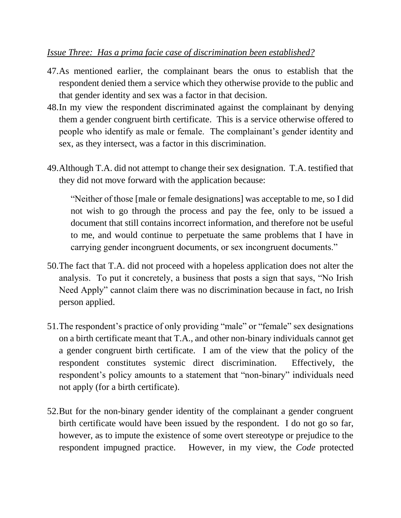## *Issue Three: Has a prima facie case of discrimination been established?*

- 47.As mentioned earlier, the complainant bears the onus to establish that the respondent denied them a service which they otherwise provide to the public and that gender identity and sex was a factor in that decision.
- 48.In my view the respondent discriminated against the complainant by denying them a gender congruent birth certificate. This is a service otherwise offered to people who identify as male or female. The complainant's gender identity and sex, as they intersect, was a factor in this discrimination.
- 49.Although T.A. did not attempt to change their sex designation. T.A. testified that they did not move forward with the application because:

"Neither of those [male or female designations] was acceptable to me, so I did not wish to go through the process and pay the fee, only to be issued a document that still contains incorrect information, and therefore not be useful to me, and would continue to perpetuate the same problems that I have in carrying gender incongruent documents, or sex incongruent documents."

- 50.The fact that T.A. did not proceed with a hopeless application does not alter the analysis. To put it concretely, a business that posts a sign that says, "No Irish Need Apply" cannot claim there was no discrimination because in fact, no Irish person applied.
- 51.The respondent's practice of only providing "male" or "female" sex designations on a birth certificate meant that T.A., and other non-binary individuals cannot get a gender congruent birth certificate. I am of the view that the policy of the respondent constitutes systemic direct discrimination. Effectively, the respondent's policy amounts to a statement that "non-binary" individuals need not apply (for a birth certificate).
- 52.But for the non-binary gender identity of the complainant a gender congruent birth certificate would have been issued by the respondent. I do not go so far, however, as to impute the existence of some overt stereotype or prejudice to the respondent impugned practice. However, in my view, the *Code* protected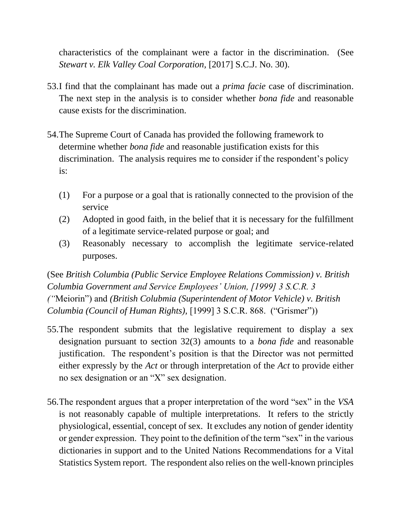characteristics of the complainant were a factor in the discrimination. (See *Stewart v. Elk Valley Coal Corporation,* [2017] S.C.J. No. 30).

- 53.I find that the complainant has made out a *prima facie* case of discrimination. The next step in the analysis is to consider whether *bona fide* and reasonable cause exists for the discrimination.
- 54.The Supreme Court of Canada has provided the following framework to determine whether *bona fide* and reasonable justification exists for this discrimination. The analysis requires me to consider if the respondent's policy is:
	- (1) For a purpose or a goal that is rationally connected to the provision of the service
	- (2) Adopted in good faith, in the belief that it is necessary for the fulfillment of a legitimate service-related purpose or goal; and
	- (3) Reasonably necessary to accomplish the legitimate service-related purposes.

(See *British Columbia (Public Service Employee Relations Commission) v. British Columbia Government and Service Employees' Union, [1999] 3 S.C.R. 3 ("*Meiorin") and *(British Colubmia (Superintendent of Motor Vehicle) v. British Columbia (Council of Human Rights),* [1999] 3 S.C.R. 868. ("Grismer"))

- 55.The respondent submits that the legislative requirement to display a sex designation pursuant to section 32(3) amounts to a *bona fide* and reasonable justification. The respondent's position is that the Director was not permitted either expressly by the *Act* or through interpretation of the *Act* to provide either no sex designation or an "X" sex designation.
- 56.The respondent argues that a proper interpretation of the word "sex" in the *VSA*  is not reasonably capable of multiple interpretations. It refers to the strictly physiological, essential, concept of sex. It excludes any notion of gender identity or gender expression. They point to the definition of the term "sex" in the various dictionaries in support and to the United Nations Recommendations for a Vital Statistics System report. The respondent also relies on the well-known principles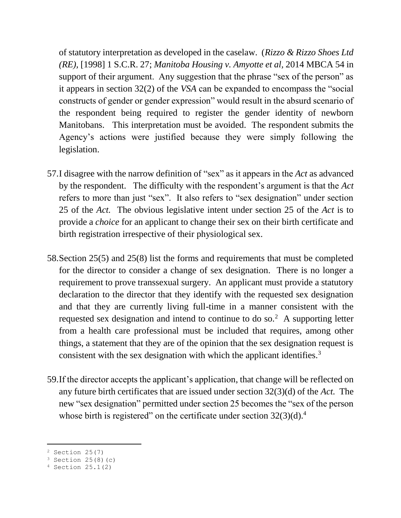of statutory interpretation as developed in the caselaw. (*Rizzo & Rizzo Shoes Ltd (RE),* [1998] 1 S.C.R. 27; *Manitoba Housing v. Amyotte et al,* 2014 MBCA 54 in support of their argument. Any suggestion that the phrase "sex of the person" as it appears in section 32(2) of the *VSA* can be expanded to encompass the "social constructs of gender or gender expression" would result in the absurd scenario of the respondent being required to register the gender identity of newborn Manitobans. This interpretation must be avoided. The respondent submits the Agency's actions were justified because they were simply following the legislation.

- 57.I disagree with the narrow definition of "sex" as it appears in the *Act* as advanced by the respondent. The difficulty with the respondent's argument is that the *Act*  refers to more than just "sex". It also refers to "sex designation" under section 25 of the *Act.* The obvious legislative intent under section 25 of the *Act* is to provide a *choice* for an applicant to change their sex on their birth certificate and birth registration irrespective of their physiological sex.
- 58.Section 25(5) and 25(8) list the forms and requirements that must be completed for the director to consider a change of sex designation. There is no longer a requirement to prove transsexual surgery. An applicant must provide a statutory declaration to the director that they identify with the requested sex designation and that they are currently living full-time in a manner consistent with the requested sex designation and intend to continue to do so.<sup>2</sup> A supporting letter from a health care professional must be included that requires, among other things, a statement that they are of the opinion that the sex designation request is consistent with the sex designation with which the applicant identifies.<sup>3</sup>
- 59.If the director accepts the applicant's application, that change will be reflected on any future birth certificates that are issued under section 32(3)(d) of the *Act.* The new "sex designation" permitted under section 25 becomes the "sex of the person whose birth is registered" on the certificate under section  $32(3)(d)$ .<sup>4</sup>

L,

<sup>2</sup> Section 25(7)

 $3$  Section 25(8)(c)

<sup>4</sup> Section 25.1(2)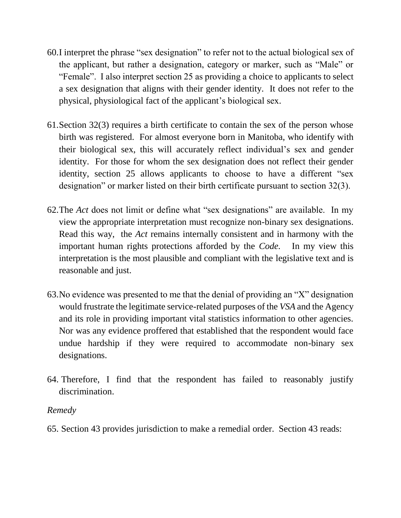- 60.I interpret the phrase "sex designation" to refer not to the actual biological sex of the applicant, but rather a designation, category or marker, such as "Male" or "Female". I also interpret section 25 as providing a choice to applicants to select a sex designation that aligns with their gender identity. It does not refer to the physical, physiological fact of the applicant's biological sex.
- 61.Section 32(3) requires a birth certificate to contain the sex of the person whose birth was registered. For almost everyone born in Manitoba, who identify with their biological sex, this will accurately reflect individual's sex and gender identity. For those for whom the sex designation does not reflect their gender identity, section 25 allows applicants to choose to have a different "sex designation" or marker listed on their birth certificate pursuant to section 32(3).
- 62.The *Act* does not limit or define what "sex designations" are available. In my view the appropriate interpretation must recognize non-binary sex designations. Read this way, the *Act* remains internally consistent and in harmony with the important human rights protections afforded by the *Code.* In my view this interpretation is the most plausible and compliant with the legislative text and is reasonable and just.
- 63.No evidence was presented to me that the denial of providing an "X" designation would frustrate the legitimate service-related purposes of the *VSA* and the Agency and its role in providing important vital statistics information to other agencies. Nor was any evidence proffered that established that the respondent would face undue hardship if they were required to accommodate non-binary sex designations.
- 64. Therefore, I find that the respondent has failed to reasonably justify discrimination.

## *Remedy*

65. Section 43 provides jurisdiction to make a remedial order. Section 43 reads: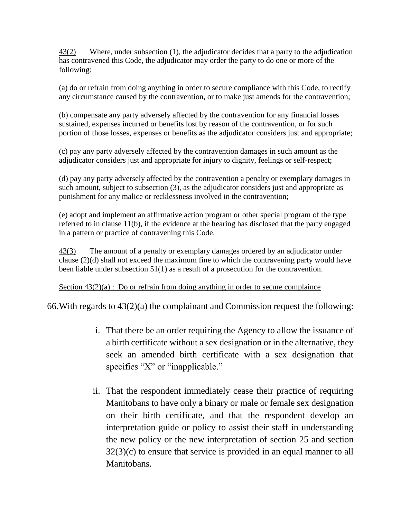[43\(2\)](https://web2.gov.mb.ca/laws/statutes/ccsm/h175f.php#43(2)) Where, under subsection (1), the adjudicator decides that a party to the adjudication has contravened this Code, the adjudicator may order the party to do one or more of the following:

(a) do or refrain from doing anything in order to secure compliance with this Code, to rectify any circumstance caused by the contravention, or to make just amends for the contravention;

(b) compensate any party adversely affected by the contravention for any financial losses sustained, expenses incurred or benefits lost by reason of the contravention, or for such portion of those losses, expenses or benefits as the adjudicator considers just and appropriate;

(c) pay any party adversely affected by the contravention damages in such amount as the adjudicator considers just and appropriate for injury to dignity, feelings or self-respect;

(d) pay any party adversely affected by the contravention a penalty or exemplary damages in such amount, subject to subsection (3), as the adjudicator considers just and appropriate as punishment for any malice or recklessness involved in the contravention;

(e) adopt and implement an affirmative action program or other special program of the type referred to in clause 11(b), if the evidence at the hearing has disclosed that the party engaged in a pattern or practice of contravening this Code.

[43\(3\)](https://web2.gov.mb.ca/laws/statutes/ccsm/h175f.php#43(3)) The amount of a penalty or exemplary damages ordered by an adjudicator under clause (2)(d) shall not exceed the maximum fine to which the contravening party would have been liable under subsection 51(1) as a result of a prosecution for the contravention.

Section  $43(2)(a)$ : Do or refrain from doing anything in order to secure complaince

66.With regards to 43(2)(a) the complainant and Commission request the following:

- i. That there be an order requiring the Agency to allow the issuance of a birth certificate without a sex designation or in the alternative, they seek an amended birth certificate with a sex designation that specifies "X" or "inapplicable."
- ii. That the respondent immediately cease their practice of requiring Manitobans to have only a binary or male or female sex designation on their birth certificate, and that the respondent develop an interpretation guide or policy to assist their staff in understanding the new policy or the new interpretation of section 25 and section 32(3)(c) to ensure that service is provided in an equal manner to all Manitobans.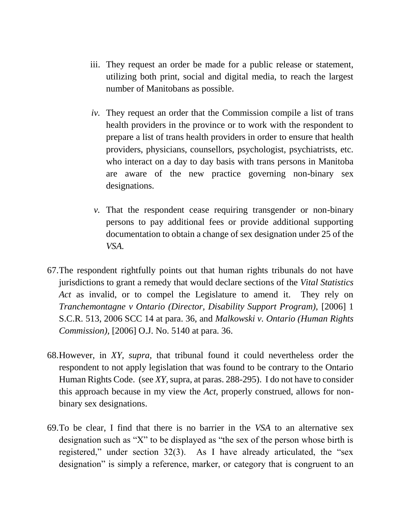- iii. They request an order be made for a public release or statement, utilizing both print, social and digital media, to reach the largest number of Manitobans as possible.
- *iv.* They request an order that the Commission compile a list of trans health providers in the province or to work with the respondent to prepare a list of trans health providers in order to ensure that health providers, physicians, counsellors, psychologist, psychiatrists, etc. who interact on a day to day basis with trans persons in Manitoba are aware of the new practice governing non-binary sex designations.
- *v.* That the respondent cease requiring transgender or non-binary persons to pay additional fees or provide additional supporting documentation to obtain a change of sex designation under 25 of the *VSA.*
- 67.The respondent rightfully points out that human rights tribunals do not have jurisdictions to grant a remedy that would declare sections of the *Vital Statistics Act* as invalid, or to compel the Legislature to amend it. They rely on *Tranchemontagne v Ontario (Director, Disability Support Program),* [2006] 1 S.C.R. 513, 2006 SCC 14 at para. 36, and *Malkowski v. Ontario (Human Rights Commission),* [2006] O.J. No. 5140 at para. 36.
- 68.However, in *XY, supra,* that tribunal found it could nevertheless order the respondent to not apply legislation that was found to be contrary to the Ontario Human Rights Code. (see *XY,* supra, at paras. 288-295). I do not have to consider this approach because in my view the *Act,* properly construed, allows for nonbinary sex designations.
- 69.To be clear, I find that there is no barrier in the *VSA* to an alternative sex designation such as "X" to be displayed as "the sex of the person whose birth is registered," under section 32(3). As I have already articulated, the "sex designation" is simply a reference, marker, or category that is congruent to an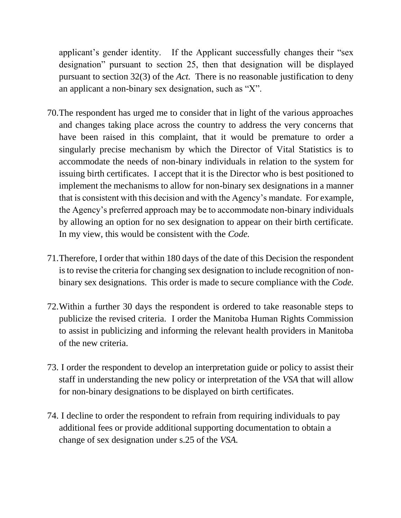applicant's gender identity. If the Applicant successfully changes their "sex designation" pursuant to section 25, then that designation will be displayed pursuant to section 32(3) of the *Act.* There is no reasonable justification to deny an applicant a non-binary sex designation, such as "X".

- 70.The respondent has urged me to consider that in light of the various approaches and changes taking place across the country to address the very concerns that have been raised in this complaint, that it would be premature to order a singularly precise mechanism by which the Director of Vital Statistics is to accommodate the needs of non-binary individuals in relation to the system for issuing birth certificates. I accept that it is the Director who is best positioned to implement the mechanisms to allow for non-binary sex designations in a manner that is consistent with this decision and with the Agency's mandate. For example, the Agency's preferred approach may be to accommodate non-binary individuals by allowing an option for no sex designation to appear on their birth certificate. In my view, this would be consistent with the *Code.*
- 71.Therefore, I order that within 180 days of the date of this Decision the respondent is to revise the criteria for changing sex designation to include recognition of nonbinary sex designations. This order is made to secure compliance with the *Code.*
- 72.Within a further 30 days the respondent is ordered to take reasonable steps to publicize the revised criteria. I order the Manitoba Human Rights Commission to assist in publicizing and informing the relevant health providers in Manitoba of the new criteria.
- 73. I order the respondent to develop an interpretation guide or policy to assist their staff in understanding the new policy or interpretation of the *VSA* that will allow for non-binary designations to be displayed on birth certificates.
- 74. I decline to order the respondent to refrain from requiring individuals to pay additional fees or provide additional supporting documentation to obtain a change of sex designation under s.25 of the *VSA.*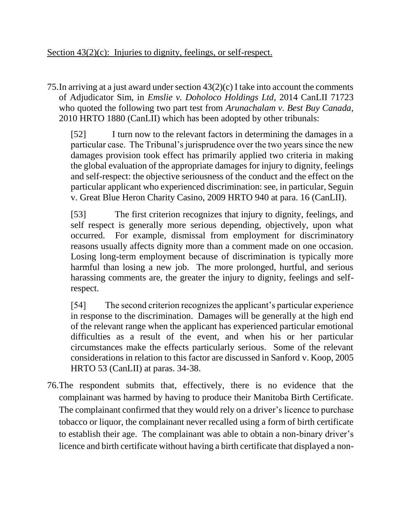75.In arriving at a just award under section 43(2)(c) I take into account the comments of Adjudicator Sim, in *Emslie v. Doholoco Holdings Ltd,* 2014 CanLII 71723 who quoted the following two part test from *Arunachalam v. Best Buy Canada,*  2010 HRTO 1880 (CanLII) which has been adopted by other tribunals:

[52] I turn now to the relevant factors in determining the damages in a particular case. The Tribunal's jurisprudence over the two years since the new damages provision took effect has primarily applied two criteria in making the global evaluation of the appropriate damages for injury to dignity, feelings and self-respect: the objective seriousness of the conduct and the effect on the particular applicant who experienced discrimination: see, in particular, Seguin v. Great Blue Heron Charity Casino, 2009 HRTO 940 at para. 16 (CanLII).

[53] The first criterion recognizes that injury to dignity, feelings, and self respect is generally more serious depending, objectively, upon what occurred. For example, dismissal from employment for discriminatory reasons usually affects dignity more than a comment made on one occasion. Losing long-term employment because of discrimination is typically more harmful than losing a new job. The more prolonged, hurtful, and serious harassing comments are, the greater the injury to dignity, feelings and selfrespect.

[54] The second criterion recognizes the applicant's particular experience in response to the discrimination. Damages will be generally at the high end of the relevant range when the applicant has experienced particular emotional difficulties as a result of the event, and when his or her particular circumstances make the effects particularly serious. Some of the relevant considerations in relation to this factor are discussed in Sanford v. Koop, 2005 HRTO 53 (CanLII) at paras. 34-38.

76.The respondent submits that, effectively, there is no evidence that the complainant was harmed by having to produce their Manitoba Birth Certificate. The complainant confirmed that they would rely on a driver's licence to purchase tobacco or liquor, the complainant never recalled using a form of birth certificate to establish their age. The complainant was able to obtain a non-binary driver's licence and birth certificate without having a birth certificate that displayed a non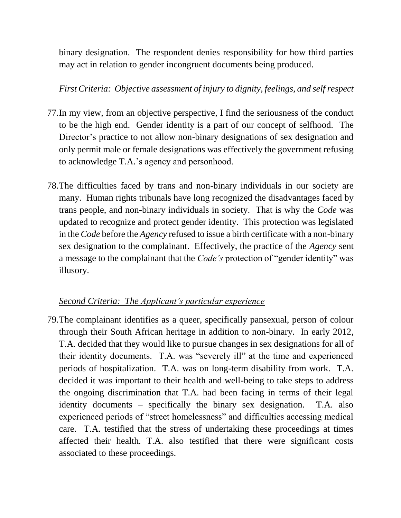binary designation. The respondent denies responsibility for how third parties may act in relation to gender incongruent documents being produced.

## *First Criteria: Objective assessment of injury to dignity, feelings, and self respect*

- 77.In my view, from an objective perspective, I find the seriousness of the conduct to be the high end. Gender identity is a part of our concept of selfhood. The Director's practice to not allow non-binary designations of sex designation and only permit male or female designations was effectively the government refusing to acknowledge T.A.'s agency and personhood.
- 78.The difficulties faced by trans and non-binary individuals in our society are many. Human rights tribunals have long recognized the disadvantages faced by trans people, and non-binary individuals in society. That is why the *Code* was updated to recognize and protect gender identity. This protection was legislated in the *Code* before the *Agency* refused to issue a birth certificate with a non-binary sex designation to the complainant. Effectively, the practice of the *Agency* sent a message to the complainant that the *Code's* protection of "gender identity" was illusory.

## *Second Criteria: The Applicant's particular experience*

79.The complainant identifies as a queer, specifically pansexual, person of colour through their South African heritage in addition to non-binary. In early 2012, T.A. decided that they would like to pursue changes in sex designations for all of their identity documents. T.A. was "severely ill" at the time and experienced periods of hospitalization. T.A. was on long-term disability from work. T.A. decided it was important to their health and well-being to take steps to address the ongoing discrimination that T.A. had been facing in terms of their legal identity documents – specifically the binary sex designation. T.A. also experienced periods of "street homelessness" and difficulties accessing medical care. T.A. testified that the stress of undertaking these proceedings at times affected their health. T.A. also testified that there were significant costs associated to these proceedings.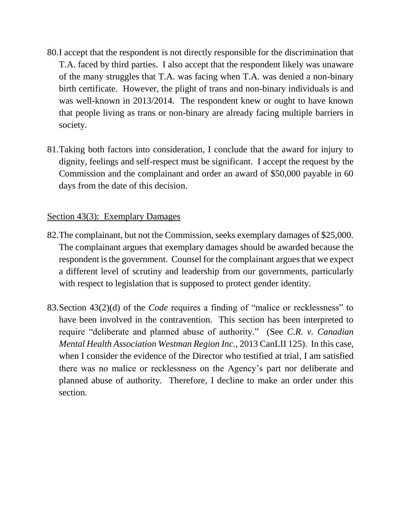- 80.I accept that the respondent is not directly responsible for the discrimination that T.A. faced by third parties. I also accept that the respondent likely was unaware of the many struggles that T.A. was facing when T.A. was denied a non-binary birth certificate. However, the plight of trans and non-binary individuals is and was well-known in 2013/2014. The respondent knew or ought to have known that people living as trans or non-binary are already facing multiple barriers in society.
- 81.Taking both factors into consideration, I conclude that the award for injury to dignity, feelings and self-respect must be significant. I accept the request by the Commission and the complainant and order an award of \$50,000 payable in 60 days from the date of this decision.

#### Section 43(3): Exemplary Damages

- 82.The complainant, but not the Commission, seeks exemplary damages of \$25,000. The complainant argues that exemplary damages should be awarded because the respondent is the government. Counsel for the complainant argues that we expect a different level of scrutiny and leadership from our governments, particularly with respect to legislation that is supposed to protect gender identity.
- 83.Section 43(2)(d) of the *Code* requires a finding of "malice or recklessness" to have been involved in the contravention. This section has been interpreted to require "deliberate and planned abuse of authority." (See *C.R. v. Canadian Mental Health Association Westman Region Inc.,* 2013 CanLII 125). In this case, when I consider the evidence of the Director who testified at trial, I am satisfied there was no malice or recklessness on the Agency's part nor deliberate and planned abuse of authority. Therefore, I decline to make an order under this section.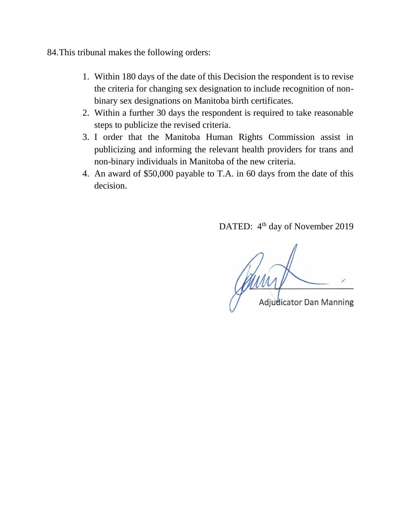84.This tribunal makes the following orders:

- 1. Within 180 days of the date of this Decision the respondent is to revise the criteria for changing sex designation to include recognition of nonbinary sex designations on Manitoba birth certificates.
- 2. Within a further 30 days the respondent is required to take reasonable steps to publicize the revised criteria.
- 3. I order that the Manitoba Human Rights Commission assist in publicizing and informing the relevant health providers for trans and non-binary individuals in Manitoba of the new criteria.
- 4. An award of \$50,000 payable to T.A. in 60 days from the date of this decision.

DATED: 4<sup>th</sup> day of November 2019

**Adjudicator Dan Manning**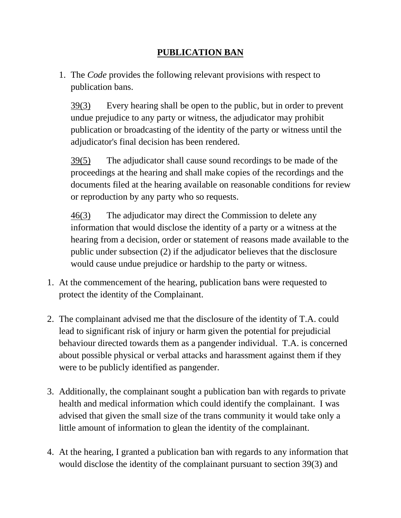# **PUBLICATION BAN**

1. The *Code* provides the following relevant provisions with respect to publication bans.

[39\(3\)](https://web2.gov.mb.ca/laws/statutes/ccsm/h175f.php#39(3)) Every hearing shall be open to the public, but in order to prevent undue prejudice to any party or witness, the adjudicator may prohibit publication or broadcasting of the identity of the party or witness until the adjudicator's final decision has been rendered.

[39\(5\)](https://web2.gov.mb.ca/laws/statutes/ccsm/h175f.php#39(5)) The adjudicator shall cause sound recordings to be made of the proceedings at the hearing and shall make copies of the recordings and the documents filed at the hearing available on reasonable conditions for review or reproduction by any party who so requests.

[46\(3\)](https://web2.gov.mb.ca/laws/statutes/ccsm/h175f.php#46(3)) The adjudicator may direct the Commission to delete any information that would disclose the identity of a party or a witness at the hearing from a decision, order or statement of reasons made available to the public under subsection (2) if the adjudicator believes that the disclosure would cause undue prejudice or hardship to the party or witness.

- 1. At the commencement of the hearing, publication bans were requested to protect the identity of the Complainant.
- 2. The complainant advised me that the disclosure of the identity of T.A. could lead to significant risk of injury or harm given the potential for prejudicial behaviour directed towards them as a pangender individual. T.A. is concerned about possible physical or verbal attacks and harassment against them if they were to be publicly identified as pangender.
- 3. Additionally, the complainant sought a publication ban with regards to private health and medical information which could identify the complainant. I was advised that given the small size of the trans community it would take only a little amount of information to glean the identity of the complainant.
- 4. At the hearing, I granted a publication ban with regards to any information that would disclose the identity of the complainant pursuant to section 39(3) and